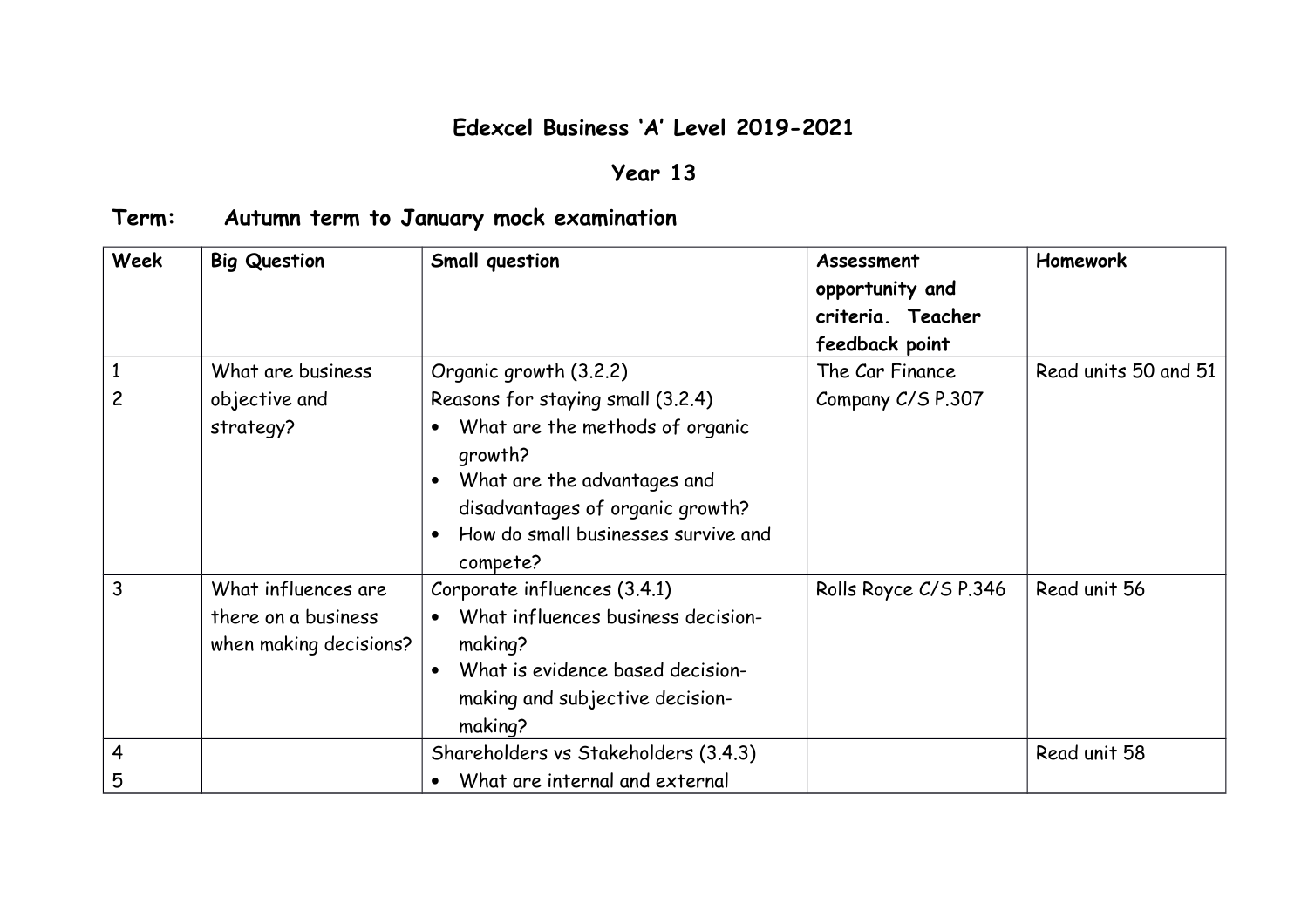## **Edexcel Business 'A' Level 2019-2021**

## **Year 13**

## **Term: Autumn term to January mock examination**

| <b>Week</b> | <b>Big Question</b>                                                  | Small question                                                                                                                                                                                                                  | Assessment<br>opportunity and<br>criteria. Teacher<br>feedback point | <b>Homework</b>      |
|-------------|----------------------------------------------------------------------|---------------------------------------------------------------------------------------------------------------------------------------------------------------------------------------------------------------------------------|----------------------------------------------------------------------|----------------------|
|             | What are business<br>objective and<br>strategy?                      | Organic growth (3.2.2)<br>Reasons for staying small (3.2.4)<br>What are the methods of organic<br>growth?<br>What are the advantages and<br>disadvantages of organic growth?<br>How do small businesses survive and<br>compete? | The Car Finance<br>Company C/S P.307                                 | Read units 50 and 51 |
| 3           | What influences are<br>there on a business<br>when making decisions? | Corporate influences (3.4.1)<br>What influences business decision-<br>making?<br>What is evidence based decision-<br>making and subjective decision-<br>making?                                                                 | Rolls Royce C/S P.346                                                | Read unit 56         |
| 4<br>5      |                                                                      | Shareholders vs Stakeholders (3.4.3)<br>What are internal and external                                                                                                                                                          |                                                                      | Read unit 58         |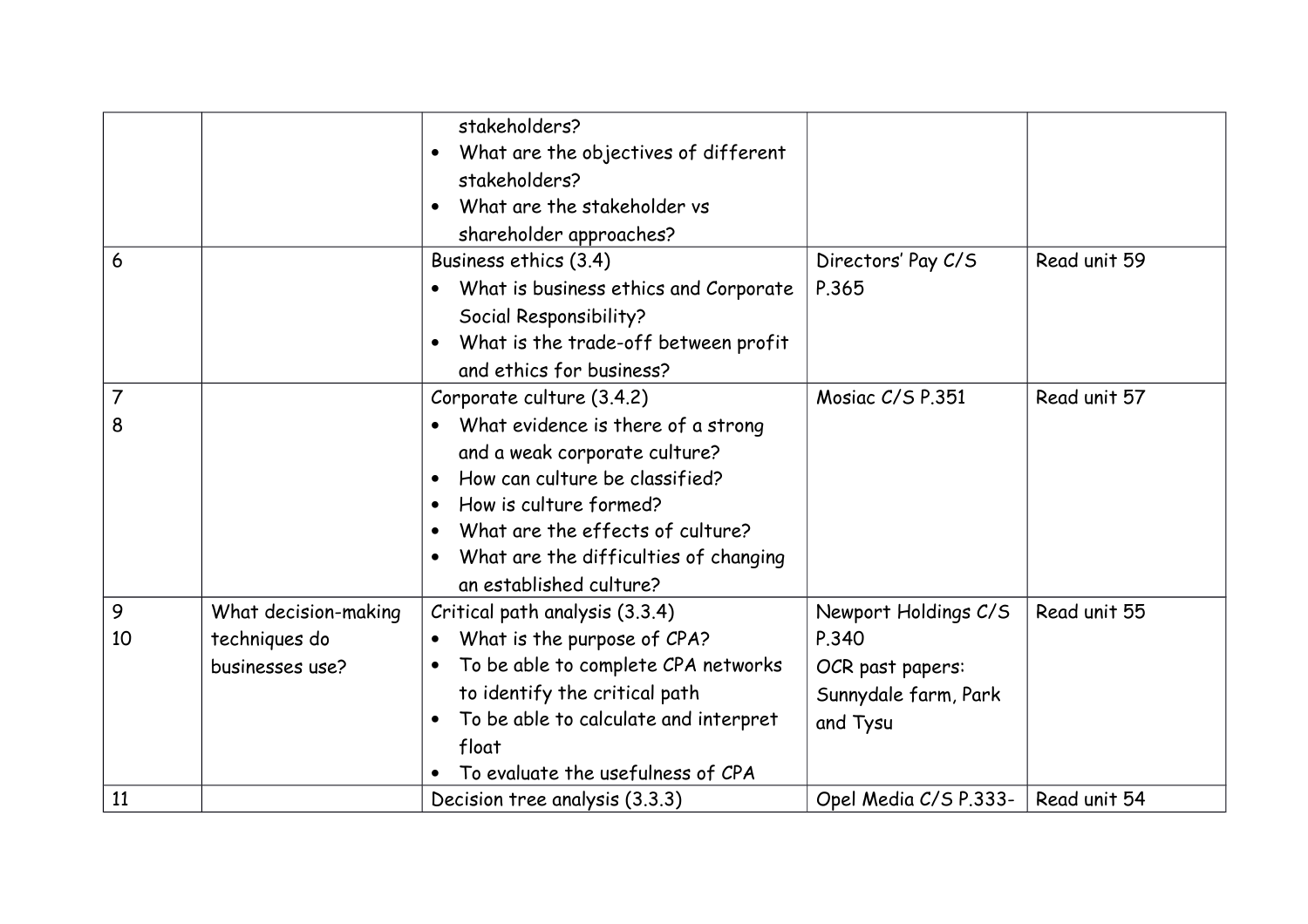|         |                                                          | stakeholders?<br>What are the objectives of different<br>$\bullet$<br>stakeholders?<br>What are the stakeholder vs<br>$\bullet$<br>shareholder approaches?                                                                                                                                                  |                                                                                       |              |
|---------|----------------------------------------------------------|-------------------------------------------------------------------------------------------------------------------------------------------------------------------------------------------------------------------------------------------------------------------------------------------------------------|---------------------------------------------------------------------------------------|--------------|
| 6       |                                                          | Business ethics (3.4)<br>What is business ethics and Corporate<br>Social Responsibility?<br>What is the trade-off between profit<br>and ethics for business?                                                                                                                                                | Directors' Pay C/S<br>P.365                                                           | Read unit 59 |
| 7<br>8  |                                                          | Corporate culture (3.4.2)<br>What evidence is there of a strong<br>$\bullet$<br>and a weak corporate culture?<br>How can culture be classified?<br>$\bullet$<br>How is culture formed?<br>What are the effects of culture?<br>What are the difficulties of changing<br>$\bullet$<br>an established culture? | Mosiac C/S P.351                                                                      | Read unit 57 |
| 9<br>10 | What decision-making<br>techniques do<br>businesses use? | Critical path analysis (3.3.4)<br>What is the purpose of CPA?<br>$\bullet$<br>To be able to complete CPA networks<br>$\bullet$<br>to identify the critical path<br>To be able to calculate and interpret<br>$\bullet$<br>float<br>To evaluate the usefulness of CPA                                         | Newport Holdings C/S<br>P.340<br>OCR past papers:<br>Sunnydale farm, Park<br>and Tysu | Read unit 55 |
| 11      |                                                          | Decision tree analysis (3.3.3)                                                                                                                                                                                                                                                                              | Opel Media C/S P.333-                                                                 | Read unit 54 |